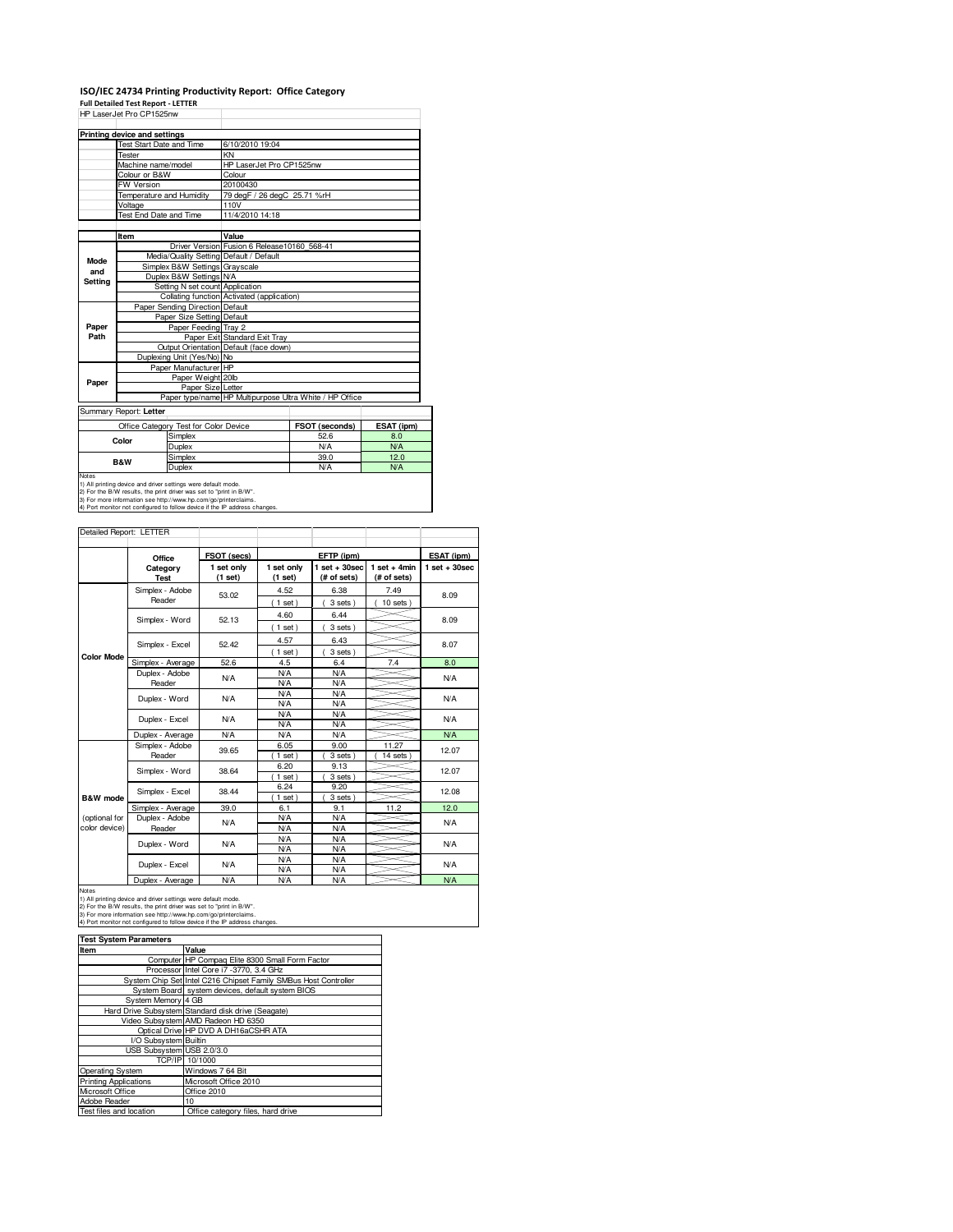## **ISO/IEC 24734 Printing Productivity Report: Office Category**

**Full Detailed Test Report - LETTER** HP LaserJet Pro CP1525nw

|                                                               | HP LaserJet Pro UP 152511W                              |                                              |                                            |            |  |  |
|---------------------------------------------------------------|---------------------------------------------------------|----------------------------------------------|--------------------------------------------|------------|--|--|
|                                                               | Printing device and settings                            |                                              |                                            |            |  |  |
|                                                               | <b>Test Start Date and Time</b>                         | 6/10/2010 19:04                              |                                            |            |  |  |
|                                                               | Tester                                                  | KN                                           |                                            |            |  |  |
|                                                               | Machine name/model                                      | HP LaserJet Pro CP1525nw                     |                                            |            |  |  |
|                                                               | Colour or B&W                                           | Colour                                       |                                            |            |  |  |
|                                                               | FW Version                                              | 20100430                                     |                                            |            |  |  |
|                                                               | Temperature and Humidity                                | 79 degF / 26 degC 25.71 %rH                  |                                            |            |  |  |
|                                                               | Voltage                                                 | 110V                                         |                                            |            |  |  |
|                                                               | Test End Date and Time                                  | 11/4/2010 14:18                              |                                            |            |  |  |
|                                                               |                                                         |                                              |                                            |            |  |  |
|                                                               | Item                                                    | Value                                        |                                            |            |  |  |
| <b>Mode</b><br>and<br>Setting                                 |                                                         | Driver Version Fusion 6 Release 10160 568-41 |                                            |            |  |  |
|                                                               | Media/Quality Setting Default / Default                 |                                              |                                            |            |  |  |
|                                                               | Simplex B&W Settings Grayscale                          |                                              |                                            |            |  |  |
|                                                               | Duplex B&W Settings N/A                                 |                                              |                                            |            |  |  |
|                                                               | Setting N set count Application                         |                                              |                                            |            |  |  |
|                                                               |                                                         |                                              | Collating function Activated (application) |            |  |  |
|                                                               | Paper Sending Direction Default                         |                                              |                                            |            |  |  |
|                                                               | Paper Size Setting Default                              |                                              |                                            |            |  |  |
| Paper                                                         | Paper Feeding Tray 2                                    |                                              |                                            |            |  |  |
| Path                                                          |                                                         | Paper Exit Standard Exit Tray                |                                            |            |  |  |
|                                                               |                                                         | Output Orientation Default (face down)       |                                            |            |  |  |
|                                                               | Duplexing Unit (Yes/No) No                              |                                              |                                            |            |  |  |
|                                                               | Paper Manufacturer HP                                   |                                              |                                            |            |  |  |
| Paper                                                         | Paper Weight 20lb                                       |                                              |                                            |            |  |  |
|                                                               | Paper Size Letter                                       |                                              |                                            |            |  |  |
|                                                               | Paper type/name HP Multipurpose Ultra White / HP Office |                                              |                                            |            |  |  |
|                                                               | Summary Report: Letter                                  |                                              |                                            |            |  |  |
| Office Category Test for Color Device                         |                                                         |                                              | FSOT (seconds)                             | ESAT (ipm) |  |  |
|                                                               | Simplex<br>Color                                        |                                              | 52.6                                       | 8.0        |  |  |
|                                                               | Duplex                                                  |                                              | <b>N/A</b>                                 | <b>N/A</b> |  |  |
|                                                               | Simplex                                                 |                                              | 39.0                                       | 12.0       |  |  |
|                                                               | B&W<br>Duplex                                           |                                              | N/A                                        | <b>N/A</b> |  |  |
| Notes                                                         |                                                         |                                              |                                            |            |  |  |
| 1) All printing device and driver settings were default mode. |                                                         |                                              |                                            |            |  |  |

1) All printing device and driver settings were default mode.<br>2) For the B/W results, the print driver was set to "print in B/W".<br>3) For more information see http://www.hp.com/go/printerclaims.<br>4) Port monitor not configur

Detailed Report: LETTER

| Delalleu neport. LETTEN        |                           |                       |                       |                                |                               |                 |
|--------------------------------|---------------------------|-----------------------|-----------------------|--------------------------------|-------------------------------|-----------------|
|                                | Office                    | FSOT (secs)           |                       | EFTP (ipm)                     |                               | ESAT (ipm)      |
|                                | Category<br><b>Test</b>   | 1 set only<br>(1 set) | 1 set only<br>(1 set) | $1$ set + 30sec<br>(# of sets) | $1$ set + 4min<br>(# of sets) | $1$ set + 30sec |
|                                | Simplex - Adobe<br>Reader | 53.02                 | 4.52<br>(1 set)       | 6.38<br>3 sets)                | 7.49<br>10 sets               | 8.09            |
|                                | Simplex - Word            | 52.13                 | 4.60<br>$1$ set)      | 6.44<br>3 sets)                |                               | 8.09            |
|                                | Simplex - Excel           | 52.42                 | 4.57<br>$1$ set)      | 6.43<br>3 sets)                |                               | 8.07            |
| <b>Color Mode</b>              | Simplex - Average         | 52.6                  | 4.5                   | 6.4                            | 7.4                           | 8.0             |
|                                | Duplex - Adobe<br>Reader  | <b>N/A</b>            | N/A<br>N/A            | <b>N/A</b><br><b>N/A</b>       |                               | N/A             |
|                                | Duplex - Word             | <b>N/A</b>            | N/A<br>N/A            | <b>N/A</b><br>N/A              |                               | N/A             |
|                                | Duplex - Excel            | <b>N/A</b>            | N/A<br>N/A            | N/A<br><b>N/A</b>              |                               | N/A             |
|                                | Duplex - Average          | N/A                   | N/A                   | N/A                            |                               | N/A             |
|                                | Simplex - Adobe<br>Reader | 39.65                 | 6.05<br>$1$ set)      | 9.00<br>3 sets                 | 11.27<br>$14$ sets            | 12.07           |
|                                | Simplex - Word            | 38.64                 | 6.20<br>$1$ set)      | 9.13<br>3 sets)                |                               | 12.07           |
| B&W mode                       | Simplex - Excel           | 38.44                 | 6.24<br>$1$ set)      | 9.20<br>3 sets                 |                               | 12.08           |
|                                | Simplex - Average         | 39.0                  | 6.1                   | 9.1                            | 11.2                          | 12.0            |
| (optional for<br>color device) | Duplex - Adobe<br>Reader  | <b>N/A</b>            | N/A<br>N/A            | <b>N/A</b><br><b>N/A</b>       |                               | N/A             |
|                                | Duplex - Word             | <b>N/A</b>            | N/A<br>N/A            | <b>N/A</b><br>N/A              |                               | N/A             |
|                                | Duplex - Excel            | <b>N/A</b>            | N/A<br>N/A            | <b>N/A</b><br><b>N/A</b>       |                               | N/A             |
|                                | Donated Accounts          | <b>NI/A</b>           | <b>AI/A</b>           | <b>AI/A</b>                    |                               | <b>AIA</b>      |

Notes<br>
Notes<br>
1) All princing device and driver setting severe default mode.<br>
2) For the B/W results, the print driver was set to "print in B/W".<br>
3) For the B/W results, the print driver was set to "print in B/W".<br>
4) Por

| <b>Test System Parameters</b> |                                                                 |  |  |
|-------------------------------|-----------------------------------------------------------------|--|--|
| Item                          | Value                                                           |  |  |
|                               | Computer HP Compag Elite 8300 Small Form Factor                 |  |  |
|                               | Processor Intel Core i7 -3770, 3.4 GHz                          |  |  |
|                               | System Chip Set Intel C216 Chipset Family SMBus Host Controller |  |  |
|                               | System Board system devices, default system BIOS                |  |  |
| System Memory 4 GB            |                                                                 |  |  |
|                               | Hard Drive Subsystem Standard disk drive (Seagate)              |  |  |
|                               | Video Subsystem AMD Radeon HD 6350                              |  |  |
|                               | Optical Drive HP DVD A DH16aCSHR ATA                            |  |  |
| I/O Subsystem Builtin         |                                                                 |  |  |
| USB Subsystem USB 2.0/3.0     |                                                                 |  |  |
|                               | TCP/IP 10/1000                                                  |  |  |
| Operating System              | Windows 7 64 Bit                                                |  |  |
| <b>Printing Applications</b>  | Microsoft Office 2010                                           |  |  |
| Microsoft Office              | Office 2010                                                     |  |  |
| Adobe Reader                  | 10                                                              |  |  |
| Test files and location       | Office category files, hard drive                               |  |  |